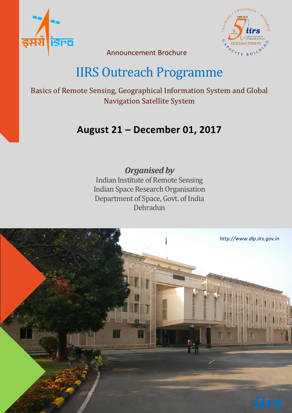



Announcement Brochure

# IIRS Outreach Programme

Basics of Remote Sensing, Geographical Information System and Global Navigation Satellite System

## **August 21 – December 01, 2017**

## *Organised by*

Indian Institute of Remote Sensing Indian Space Research Organisation Department of Space, Govt. of India Dehradun

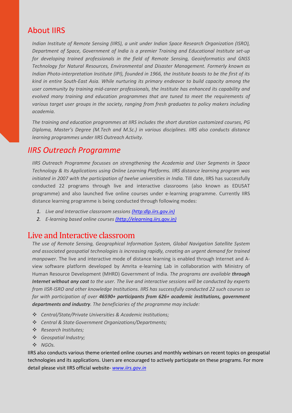### About IIRS

*Indian Institute of Remote Sensing (IIRS), a unit under Indian Space Research Organization (ISRO), Department of Space, Government of India is a premier Training and Educational Institute set-up for developing trained professionals in the field of Remote Sensing, Geoinformatics and GNSS Technology for Natural Resources, Environmental and Disaster Management. Formerly known as Indian Photo-interpretation Institute (IPI), founded in 1966, the Institute boasts to be the first of its kind in entire South-East Asia. While nurturing its primary endeavor to build capacity among the user community by training mid-career professionals, the Institute has enhanced its capability and evolved many training and education programmes that are tuned to meet the requirements of various target user groups in the society, ranging from fresh graduates to policy makers including academia.*

*The training and education programmes at IIRS includes the short duration customized courses, PG Diploma, Master's Degree (M.Tech and M.Sc.) in various disciplines. IIRS also conducts distance learning programmes under IIRS Outreach Activity.* 

#### *IIRS Outreach Programme*

*IIRS Outreach Programme focusses on strengthening the Academia and User Segments in Space Technology & Its Applications using Online Learning Platforms. IIRS distance learning program was*  initiated in 2007 with the participation of twelve universities in India. Till date, IIRS has successfully conducted 22 programs through live and interactive classrooms (also known as EDUSAT programme) and also launched five online courses under e-learning programme. Currently IIRS distance learning programme is being conducted through following modes:

- *1. Live and Interactive classroom sessions (http:dlp.iirs.gov.in)*
- *2. E-learning based online courses [\(http://elearning.iirs.gov.in\)](http://elearning.iirs.gov.in/)*

#### Live and Interactive classroom

*The use of Remote Sensing, Geographical Information System, Global Navigation Satellite System and associated geospatial technologies is increasing rapidly, creating an urgent demand for trained manpower.* The live and interactive mode of distance learning is enabled through Internet and Aview software platform developed by Amrita e-learning Lab in collaboration with Ministry of Human Resource Development (MHRD) Government of India. *The programs are available through Internet without any cost to the user. The live and interactive sessions will be conducted by experts from IISR-ISRO and other knowledge Institutions. IIRS has successfully conducted 22 such courses so far with participation of over 46590+ participants from 626+ academic institutions, government departments and industry. The beneficiaries of the programme may include:*

- *Central/State/Private Universities & Academic Institutions;*
- *Central & State Government Organizations/Departments;*
- *Research Institutes;*
- *Geospatial Industry;*
- *NGOs.*

IIRS also conducts various theme oriented online courses and monthly webinars on recent topics on geospatial technologies and its applications. Users are encouraged to actively participate on these programs. For more detail please visit IIRS official website- *[www.iirs.gov.in](http://www.iirs.gov.in/)*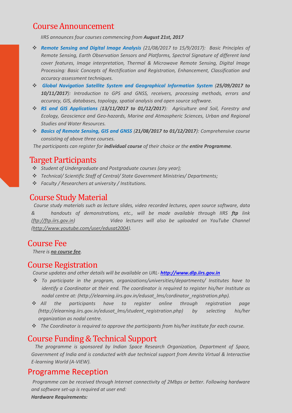### Course Announcement

 *IIRS announces four courses commencing from August 21st, 2017*

- *Remote Sensing and Digital Image Analysis (21/08/2017 to 15/9/2017): Basic Principles of Remote Sensing, Earth Observation Sensors and Platforms, Spectral Signature of different land cover features, Image interpretation, Thermal & Microwave Remote Sensing, Digital Image Processing: Basic Concepts of Rectification and Registration, Enhancement, Classification and accuracy assessment techniques.*
- *Global Navigation Satellite System and Geographical Information System (25/09/2017 to 10/11/2017): Introduction to GPS and GNSS, receivers, processing methods, errors and accuracy, GIS, databases, topology, spatial analysis and open source software.*
- *RS and GIS Applications (13/11/2017 to 01/12/2017): Agriculture and Soil, Forestry and Ecology, Geoscience and Geo-hazards, Marine and Atmospheric Sciences, Urban and Regional Studies and Water Resources.*
- *Basics of Remote Sensing, GIS and GNSS (21/08/2017 to 01/12/2017): Comprehensive course consisting of above three courses.*

 *The participants can register for individual course of their choice or the entire Programme.*

#### Target Participants

- *Student of Undergraduate and Postgraduate courses (any year);*
- *Technical/ Scientific Staff of Central/ State Government Ministries/ Departments;*
- *Faculty / Researchers at university / Institutions.*

#### Course Study Material

 *Course study materials such as lecture slides, video recorded lectures, open source software, data & handouts of demonstrations, etc., will be made available through IIRS ftp link (ftp://ftp.iirs.gov.in) Video lectures will also be uploaded on YouTube Channel [\(http://www.youtube.com/user/edusat2004\)](http://www.youtube.com/user/edusat2004).*

#### Course Fee

 *There is no course fee.*

#### Course Registration

 *Course updates and other details will be available on URL- [http://www.dlp.iirs.gov.in](http://www.dlp.iirs.gov.in/)*

- *To participate in the program, organizations/universities/departments/ Institutes have to identify a Coordinator at their end. The coordinator is required to register his/her Institute as nodal centre at: (http://elearning.iirs.gov.in/edusat\_lms/cordinator\_registration.php).*
- *All the participants have to register online through registration page (http://elearning.iirs.gov.in/edusat\_lms/student\_registration.php) by selecting his/her organization as nodal centre.*
- *The Coordinator is required to approve the participants from his/her institute for each course.*

#### Course Funding & Technical Support

 *The programme is sponsored by Indian Space Research Organization, Department of Space, Government of India and is conducted with due technical support from Amrita Virtual & Interactive E-learning World (A-VIEW).*

#### Programme Reception

*Programme can be received through Internet connectivity of 2Mbps or better. Following hardware and software set-up is required at user end: Hardware Requirements:*